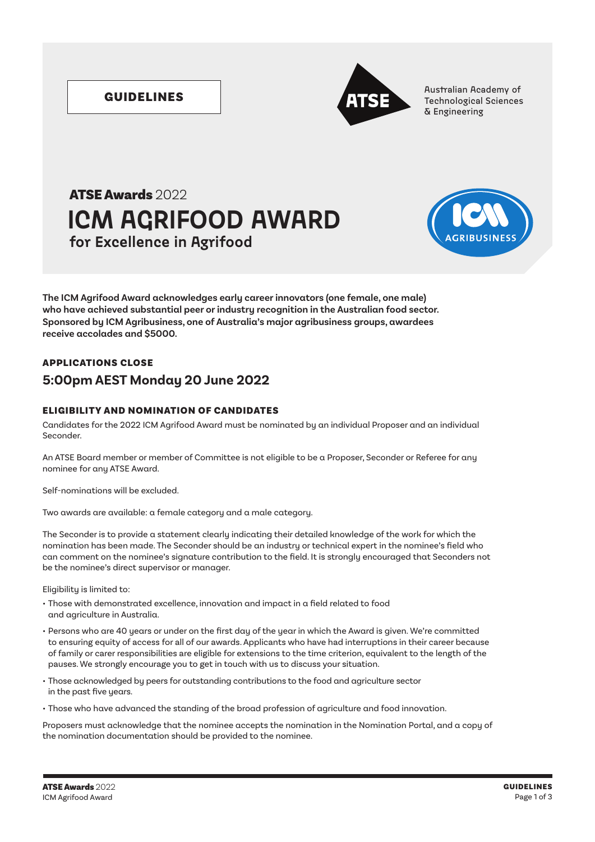

GUIDELINES **Australian Academy of Australian Academy of Australian Academy of Australian Academy of Australian Academy of Australian Academy of Technological Sciences** & Engineering

# **ICM AGRIFOOD AWARD** ATSE Awards 2022 **for Excellence in Agrifood**



**The ICM Agrifood Award acknowledges early career innovators (one female, one male) who have achieved substantial peer or industry recognition in the Australian food sector. Sponsored by ICM Agribusiness, one of Australia's major agribusiness groups, awardees receive accolades and \$5000.**

# APPLICATIONS CLOSE **5:00pm AEST Monday 20 June 2022**

### ELIGIBILITY AND NOMINATION OF CANDIDATES

Candidates for the 2022 ICM Agrifood Award must be nominated by an individual Proposer and an individual Seconder.

An ATSE Board member or member of Committee is not eligible to be a Proposer, Seconder or Referee for any nominee for any ATSE Award.

Self-nominations will be excluded.

Two awards are available: a female category and a male category.

The Seconder is to provide a statement clearly indicating their detailed knowledge of the work for which the nomination has been made. The Seconder should be an industry or technical expert in the nominee's field who can comment on the nominee's signature contribution to the field. It is strongly encouraged that Seconders not be the nominee's direct supervisor or manager.

Eligibility is limited to:

- Those with demonstrated excellence, innovation and impact in a field related to food and agriculture in Australia.
- Persons who are 40 years or under on the first day of the year in which the Award is given. We're committed to ensuring equity of access for all of our awards. Applicants who have had interruptions in their career because of family or carer responsibilities are eligible for extensions to the time criterion, equivalent to the length of the pauses. We strongly encourage you to get in touch with us to discuss your situation.
- Those acknowledged by peers for outstanding contributions to the food and agriculture sector in the past five years.
- Those who have advanced the standing of the broad profession of agriculture and food innovation.

Proposers must acknowledge that the nominee accepts the nomination in the Nomination Portal, and a copy of the nomination documentation should be provided to the nominee.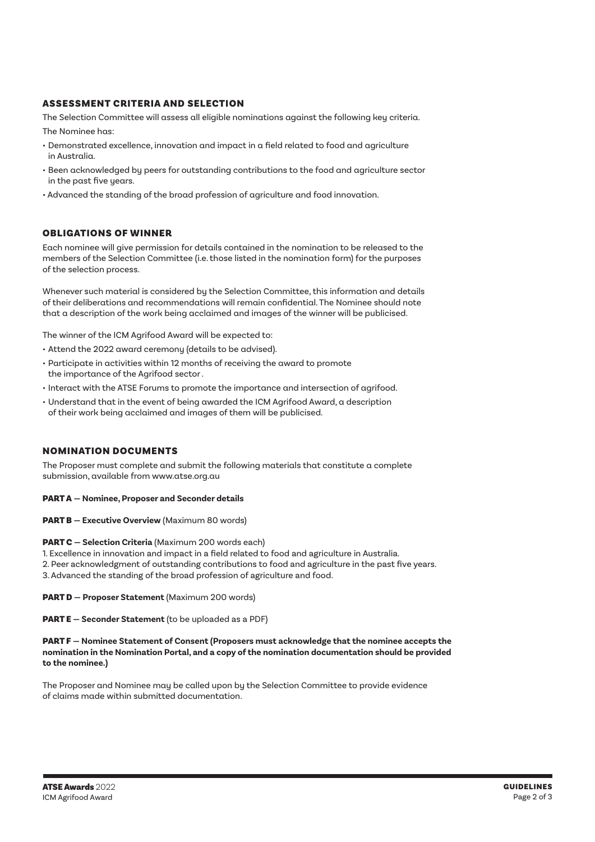#### ASSESSMENT CRITERIA AND SELECTION

The Selection Committee will assess all eligible nominations against the following key criteria. The Nominee has:

- Demonstrated excellence, innovation and impact in a field related to food and agriculture in Australia.
- Been acknowledged by peers for outstanding contributions to the food and agriculture sector in the past five years.
- Advanced the standing of the broad profession of agriculture and food innovation.

#### OBLIGATIONS OF WINNER

Each nominee will give permission for details contained in the nomination to be released to the members of the Selection Committee (i.e. those listed in the nomination form) for the purposes of the selection process.

Whenever such material is considered by the Selection Committee, this information and details of their deliberations and recommendations will remain confidential. The Nominee should note that a description of the work being acclaimed and images of the winner will be publicised.

The winner of the ICM Agrifood Award will be expected to:

- Attend the 2022 award ceremony (details to be advised).
- Participate in activities within 12 months of receiving the award to promote the importance of the Agrifood sector .
- Interact with the ATSE Forums to promote the importance and intersection of agrifood.
- Understand that in the event of being awarded the ICM Agrifood Award, a description of their work being acclaimed and images of them will be publicised.

### NOMINATION DOCUMENTS

The Proposer must complete and submit the following materials that constitute a complete submission, available from www.atse.org.au

#### PART A **— Nominee, Proposer and Seconder details**

#### PART B **— Executive Overview** (Maximum 80 words)

#### PART C **— Selection Criteria** (Maximum 200 words each)

- 1. Excellence in innovation and impact in a field related to food and agriculture in Australia.
- 2. Peer acknowledgment of outstanding contributions to food and agriculture in the past five years.
- 3. Advanced the standing of the broad profession of agriculture and food.

PART D **— Proposer Statement** (Maximum 200 words)

PART E **— Seconder Statement** (to be uploaded as a PDF)

#### PART F **— Nominee Statement of Consent (Proposers must acknowledge that the nominee accepts the nomination in the Nomination Portal, and a copy of the nomination documentation should be provided to the nominee.)**

The Proposer and Nominee may be called upon by the Selection Committee to provide evidence of claims made within submitted documentation.